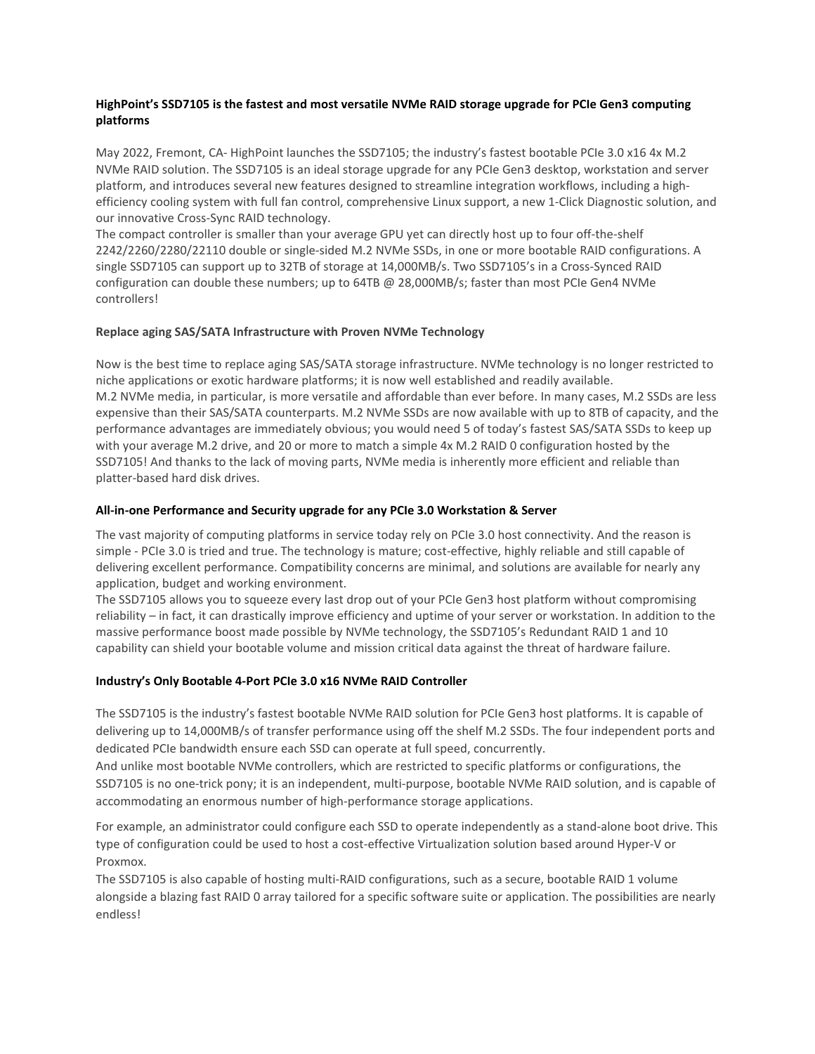## **HighPoint's SSD7105 is the fastest and most versatile NVMe RAID storage upgrade for PCIe Gen3 computing platforms**

May 2022, Fremont, CA- HighPoint launches the SSD7105; the industry's fastest bootable PCIe 3.0 x16 4x M.2 NVMe RAID solution. The SSD7105 is an ideal storage upgrade for any PCIe Gen3 desktop, workstation and server platform, and introduces several new features designed to streamline integration workflows, including a highefficiency cooling system with full fan control, comprehensive Linux support, a new 1-Click Diagnostic solution, and our innovative Cross-Sync RAID technology.

The compact controller is smaller than your average GPU yet can directly host up to four off-the-shelf 2242/2260/2280/22110 double or single-sided M.2 NVMe SSDs, in one or more bootable RAID configurations. A single SSD7105 can support up to 32TB of storage at 14,000MB/s. Two SSD7105's in a Cross-Synced RAID configuration can double these numbers; up to 64TB @ 28,000MB/s; faster than most PCIe Gen4 NVMe controllers!

#### **Replace aging SAS/SATA Infrastructure with Proven NVMe Technology**

Now is the best time to replace aging SAS/SATA storage infrastructure. NVMe technology is no longer restricted to niche applications or exotic hardware platforms; it is now well established and readily available. M.2 NVMe media, in particular, is more versatile and affordable than ever before. In many cases, M.2 SSDs are less expensive than their SAS/SATA counterparts. M.2 NVMe SSDs are now available with up to 8TB of capacity, and the performance advantages are immediately obvious; you would need 5 of today's fastest SAS/SATA SSDs to keep up with your average M.2 drive, and 20 or more to match a simple 4x M.2 RAID 0 configuration hosted by the SSD7105! And thanks to the lack of moving parts, NVMe media is inherently more efficient and reliable than platter-based hard disk drives.

#### **All-in-one Performance and Security upgrade for any PCIe 3.0 Workstation & Server**

The vast majority of computing platforms in service today rely on PCIe 3.0 host connectivity. And the reason is simple - PCIe 3.0 is tried and true. The technology is mature; cost-effective, highly reliable and still capable of delivering excellent performance. Compatibility concerns are minimal, and solutions are available for nearly any application, budget and working environment.

The SSD7105 allows you to squeeze every last drop out of your PCIe Gen3 host platform without compromising reliability – in fact, it can drastically improve efficiency and uptime of your server or workstation. In addition to the massive performance boost made possible by NVMe technology, the SSD7105's Redundant RAID 1 and 10 capability can shield your bootable volume and mission critical data against the threat of hardware failure.

## **Industry's Only Bootable 4-Port PCIe 3.0 x16 NVMe RAID Controller**

The SSD7105 is the industry's fastest bootable NVMe RAID solution for PCIe Gen3 host platforms. It is capable of delivering up to 14,000MB/s of transfer performance using off the shelf M.2 SSDs. The four independent ports and dedicated PCIe bandwidth ensure each SSD can operate at full speed, concurrently.

And unlike most bootable NVMe controllers, which are restricted to specific platforms or configurations, the SSD7105 is no one-trick pony; it is an independent, multi-purpose, bootable NVMe RAID solution, and is capable of accommodating an enormous number of high-performance storage applications.

For example, an administrator could configure each SSD to operate independently as a stand-alone boot drive. This type of configuration could be used to host a cost-effective Virtualization solution based around Hyper-V or Proxmox.

The SSD7105 is also capable of hosting multi-RAID configurations, such as a secure, bootable RAID 1 volume alongside a blazing fast RAID 0 array tailored for a specific software suite or application. The possibilities are nearly endless!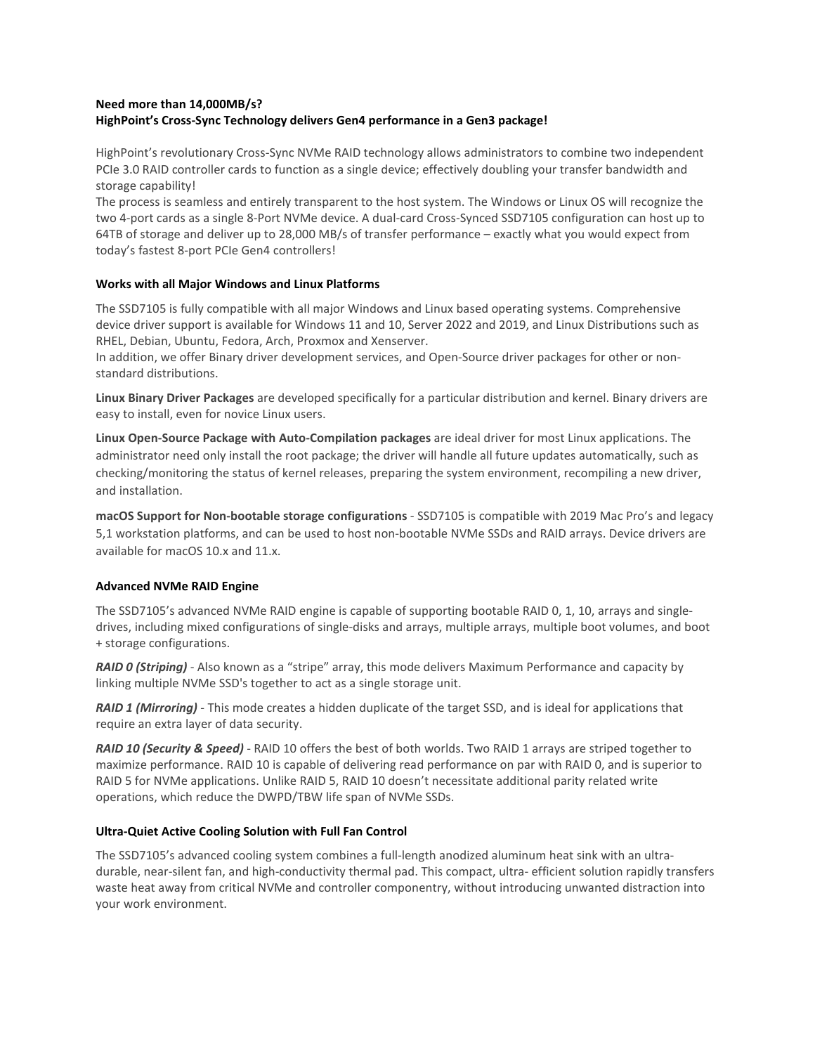# **Need more than 14,000MB/s? HighPoint's Cross-Sync Technology delivers Gen4 performance in a Gen3 package!**

HighPoint's revolutionary Cross-Sync NVMe RAID technology allows administrators to combine two independent PCIe 3.0 RAID controller cards to function as a single device; effectively doubling your transfer bandwidth and storage capability!

The process is seamless and entirely transparent to the host system. The Windows or Linux OS will recognize the two 4-port cards as a single 8-Port NVMe device. A dual-card Cross-Synced SSD7105 configuration can host up to 64TB of storage and deliver up to 28,000 MB/s of transfer performance – exactly what you would expect from today's fastest 8-port PCIe Gen4 controllers!

## **Works with all Major Windows and Linux Platforms**

The SSD7105 is fully compatible with all major Windows and Linux based operating systems. Comprehensive device driver support is available for Windows 11 and 10, Server 2022 and 2019, and Linux Distributions such as RHEL, Debian, Ubuntu, Fedora, Arch, Proxmox and Xenserver.

In addition, we offer Binary driver development services, and Open-Source driver packages for other or nonstandard distributions.

**Linux Binary Driver Packages** are developed specifically for a particular distribution and kernel. Binary drivers are easy to install, even for novice Linux users.

**Linux Open-Source Package with Auto-Compilation packages** are ideal driver for most Linux applications. The administrator need only install the root package; the driver will handle all future updates automatically, such as checking/monitoring the status of kernel releases, preparing the system environment, recompiling a new driver, and installation.

**macOS Support for Non-bootable storage configurations** - SSD7105 is compatible with 2019 Mac Pro's and legacy 5,1 workstation platforms, and can be used to host non-bootable NVMe SSDs and RAID arrays. Device drivers are available for macOS 10.x and 11.x.

## **Advanced NVMe RAID Engine**

The SSD7105's advanced NVMe RAID engine is capable of supporting bootable RAID 0, 1, 10, arrays and singledrives, including mixed configurations of single-disks and arrays, multiple arrays, multiple boot volumes, and boot + storage configurations.

*RAID 0 (Striping)* - Also known as a "stripe" array, this mode delivers Maximum Performance and capacity by linking multiple NVMe SSD's together to act as a single storage unit.

*RAID 1 (Mirroring)* - This mode creates a hidden duplicate of the target SSD, and is ideal for applications that require an extra layer of data security.

*RAID 10 (Security & Speed)* - RAID 10 offers the best of both worlds. Two RAID 1 arrays are striped together to maximize performance. RAID 10 is capable of delivering read performance on par with RAID 0, and is superior to RAID 5 for NVMe applications. Unlike RAID 5, RAID 10 doesn't necessitate additional parity related write operations, which reduce the DWPD/TBW life span of NVMe SSDs.

## **Ultra-Quiet Active Cooling Solution with Full Fan Control**

The SSD7105's advanced cooling system combines a full-length anodized aluminum heat sink with an ultradurable, near-silent fan, and high-conductivity thermal pad. This compact, ultra- efficient solution rapidly transfers waste heat away from critical NVMe and controller componentry, without introducing unwanted distraction into your work environment.